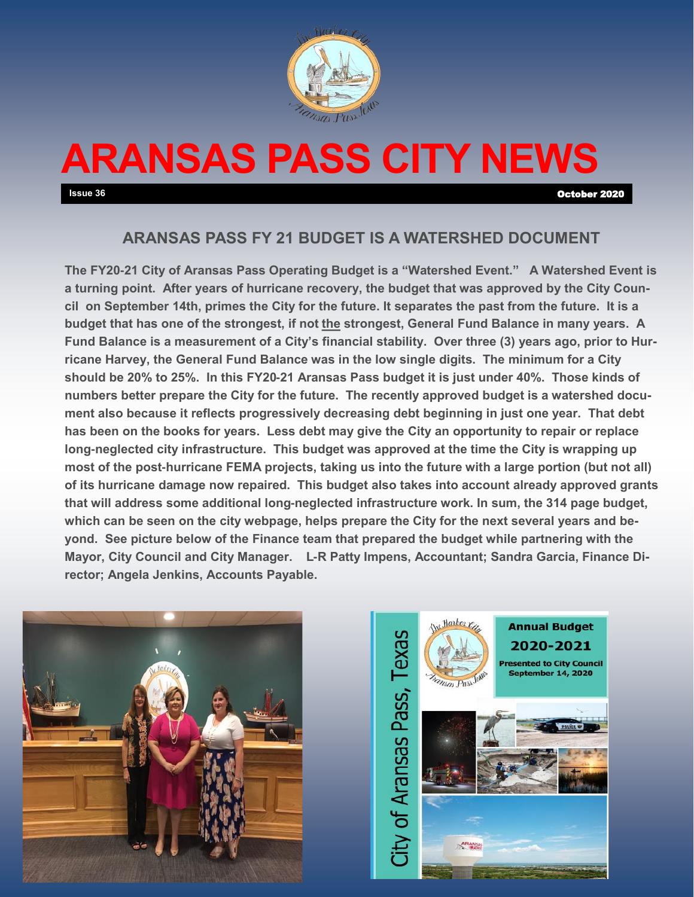

# **ARANSAS PASS CITY NEWS**

**Issue 36** October 2020

# **ARANSAS PASS FY 21 BUDGET IS A WATERSHED DOCUMENT**

**The FY20-21 City of Aransas Pass Operating Budget is a "Watershed Event." A Watershed Event is a turning point. After years of hurricane recovery, the budget that was approved by the City Council on September 14th, primes the City for the future. It separates the past from the future. It is a budget that has one of the strongest, if not the strongest, General Fund Balance in many years. A Fund Balance is a measurement of a City's financial stability. Over three (3) years ago, prior to Hurricane Harvey, the General Fund Balance was in the low single digits. The minimum for a City should be 20% to 25%. In this FY20-21 Aransas Pass budget it is just under 40%. Those kinds of numbers better prepare the City for the future. The recently approved budget is a watershed document also because it reflects progressively decreasing debt beginning in just one year. That debt has been on the books for years. Less debt may give the City an opportunity to repair or replace long-neglected city infrastructure. This budget was approved at the time the City is wrapping up most of the post-hurricane FEMA projects, taking us into the future with a large portion (but not all) of its hurricane damage now repaired. This budget also takes into account already approved grants that will address some additional long-neglected infrastructure work. In sum, the 314 page budget, which can be seen on the city webpage, helps prepare the City for the next several years and beyond. See picture below of the Finance team that prepared the budget while partnering with the Mayor, City Council and City Manager. L-R Patty Impens, Accountant; Sandra Garcia, Finance Director; Angela Jenkins, Accounts Payable.** 



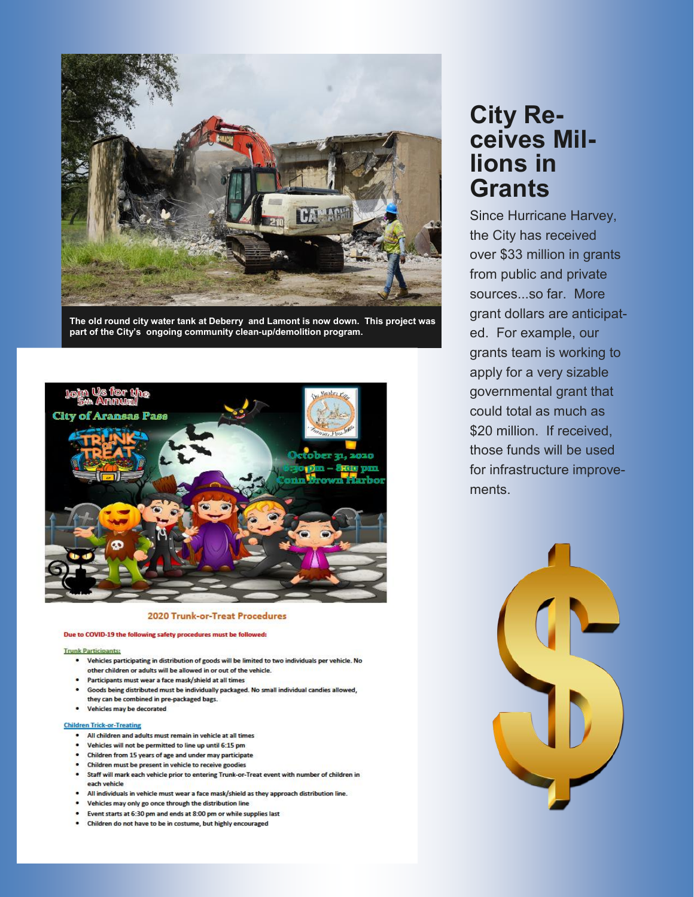

The old round city water tank at Deberry and Lamont is now down. This project was part of the City's ongoing community clean-up/demolition program.



### 2020 Trunk-or-Treat Procedures

#### Due to COVID-19 the following safety procedures must be followed:

#### **Trunk Participants:**

- Vehicles participating in distribution of goods will be limited to two individuals per vehicle. No other children or adults will be allowed in or out of the vehicle.
- Participants must wear a face mask/shield at all times
- . Goods being distributed must be individually packaged. No small individual candies allowed, they can be combined in pre-packaged bags.
- . Vehicles may be decorated

#### **Children Trick-or-Treating**

- . All children and adults must remain in vehicle at all times
- Vehicles will not be permitted to line up until 6:15 pm
- Children from 15 years of age and under may participate
- Children must be present in vehicle to receive goodies
- Staff will mark each vehicle prior to entering Trunk-or-Treat event with number of children in each vehicle
- All individuals in vehicle must wear a face mask/shield as they approach distribution line.
- . Vehicles may only go once through the distribution line
- Event starts at 6:30 pm and ends at 8:00 pm or while supplies last
- Children do not have to be in costume, but highly encouraged

# **City Re**ceives Millions in **Grants**

Since Hurricane Harvey, the City has received over \$33 million in grants from public and private sources...so far. More grant dollars are anticipated. For example, our grants team is working to apply for a very sizable governmental grant that could total as much as \$20 million. If received, those funds will be used for infrastructure improvements.

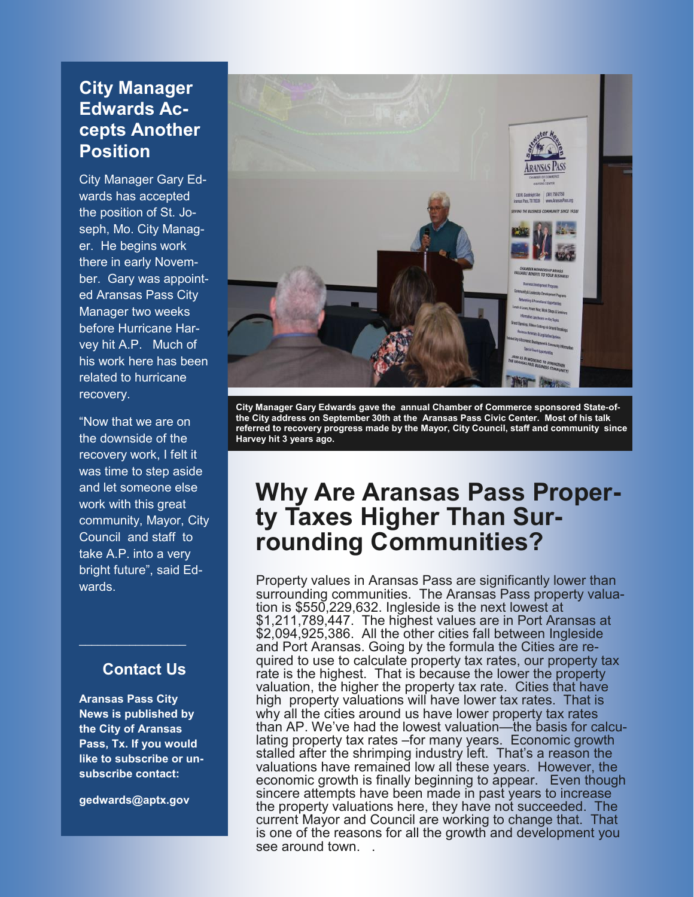# **City Manager Edwards Accepts Another Position**

City Manager Gary Edwards has accepted the position of St. Joseph, Mo. City Manager. He begins work there in early November. Gary was appointed Aransas Pass City Manager two weeks before Hurricane Harvey hit A.P. Much of his work here has been related to hurricane recovery.

"Now that we are on the downside of the recovery work, I felt it was time to step aside and let someone else work with this great community, Mayor, City Council and staff to take A.P. into a very bright future", said Edwards.

# **Contact Us**

 $\overline{\phantom{a}}$  , where  $\overline{\phantom{a}}$  , where  $\overline{\phantom{a}}$ 

**Aransas Pass City News is published by the City of Aransas Pass, Tx. If you would like to subscribe or unsubscribe contact:**

**gedwards@aptx.gov**



**City Manager Gary Edwards gave the annual Chamber of Commerce sponsored State-ofthe City address on September 30th at the Aransas Pass Civic Center. Most of his talk referred to recovery progress made by the Mayor, City Council, staff and community since Harvey hit 3 years ago.** 

# **Why Are Aransas Pass Property Taxes Higher Than Surrounding Communities?**

Property values in Aransas Pass are significantly lower than surrounding communities. The Aransas Pass property valuation is \$550,229,632. Ingleside is the next lowest at \$1,211,789,447. The highest values are in Port Aransas at \$2,094,925,386. All the other cities fall between Ingleside and Port Aransas. Going by the formula the Cities are required to use to calculate property tax rates, our property tax rate is the highest. That is because the lower the property valuation, the higher the property tax rate. Cities that have high property valuations will have lower tax rates. That is why all the cities around us have lower property tax rates than AP. We've had the lowest valuation—the basis for calculating property tax rates –for many years. Economic growth stalled after the shrimping industry left. That's a reason the valuations have remained low all these years. However, the economic growth is finally beginning to appear. Even though sincere attempts have been made in past years to increase the property valuations here, they have not succeeded. The current Mayor and Council are working to change that. That is one of the reasons for all the growth and development you see around town.